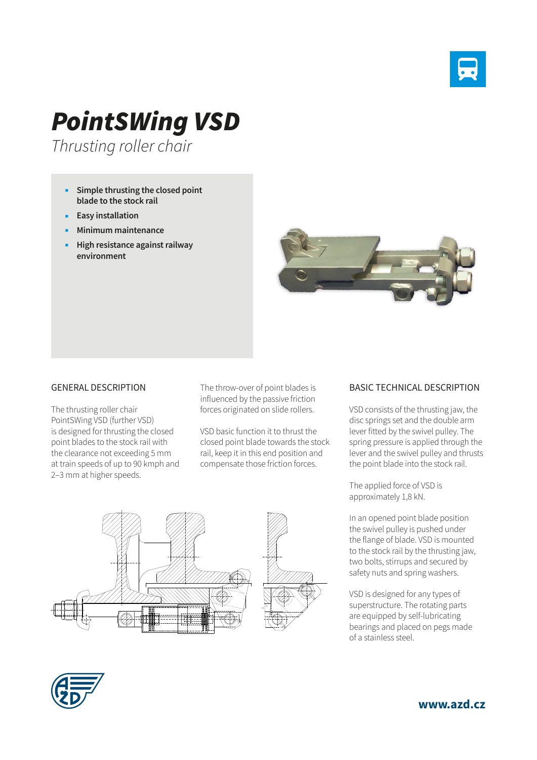

## *PointSWing VSD*

*Thrusting roller chair*

- **Simple thrusting the closed point blade to the stock rail**
- **Easy installation**
- **Minimum maintenance**
- **High resistance against railway environment**



## GENERAL DESCRIPTION

The thrusting roller chair PointSWing VSD (further VSD) is designed for thrusting the closed point blades to the stock rail with the clearance not exceeding 5 mm at train speeds of up to 90 kmph and 2–3 mm at higher speeds.

The throw-over of point blades is influenced by the passive friction forces originated on slide rollers.

VSD basic function it to thrust the closed point blade towards the stock rail, keep it in this end position and compensate those friction forces.



## BASIC TECHNICAL DESCRIPTION

VSD consists of the thrusting jaw, the disc springs set and the double arm lever fitted by the swivel pulley. The spring pressure is applied through the lever and the swivel pulley and thrusts the point blade into the stock rail.

The applied force of VSD is approximately 1,8 kN.

In an opened point blade position the swivel pulley is pushed under the flange of blade. VSD is mounted to the stock rail by the thrusting jaw, two bolts, stirrups and secured by safety nuts and spring washers.

VSD is designed for any types of superstructure. The rotating parts are equipped by self-lubricating bearings and placed on pegs made of a stainless steel.